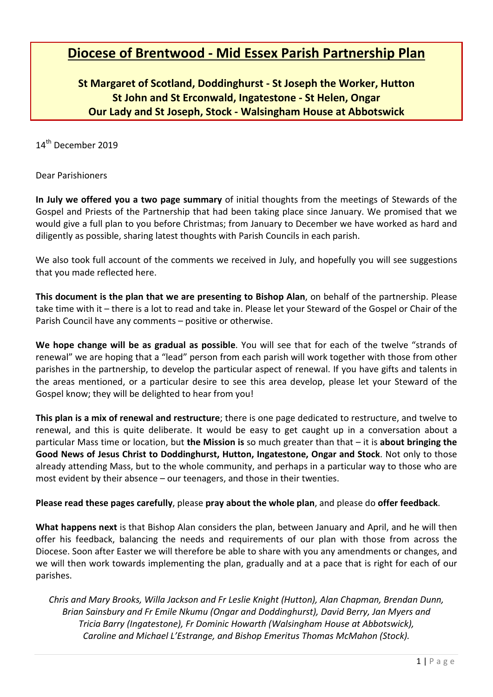# **Diocese of Brentwood - Mid Essex Parish Partnership Plan**

# **St Margaret of Scotland, Doddinghurst - St Joseph the Worker, Hutton St John and St Erconwald, Ingatestone - St Helen, Ongar Our Lady and St Joseph, Stock - Walsingham House at Abbotswick**

14<sup>th</sup> December 2019

Dear Parishioners

**In July we offered you a two page summary** of initial thoughts from the meetings of Stewards of the Gospel and Priests of the Partnership that had been taking place since January. We promised that we would give a full plan to you before Christmas; from January to December we have worked as hard and diligently as possible, sharing latest thoughts with Parish Councils in each parish.

We also took full account of the comments we received in July, and hopefully you will see suggestions that you made reflected here.

**This document is the plan that we are presenting to Bishop Alan**, on behalf of the partnership. Please take time with it – there is a lot to read and take in. Please let your Steward of the Gospel or Chair of the Parish Council have any comments – positive or otherwise.

**We hope change will be as gradual as possible**. You will see that for each of the twelve "strands of renewal" we are hoping that a "lead" person from each parish will work together with those from other parishes in the partnership, to develop the particular aspect of renewal. If you have gifts and talents in the areas mentioned, or a particular desire to see this area develop, please let your Steward of the Gospel know; they will be delighted to hear from you!

**This plan is a mix of renewal and restructure**; there is one page dedicated to restructure, and twelve to renewal, and this is quite deliberate. It would be easy to get caught up in a conversation about a particular Mass time or location, but **the Mission is** so much greater than that – it is **about bringing the Good News of Jesus Christ to Doddinghurst, Hutton, Ingatestone, Ongar and Stock**. Not only to those already attending Mass, but to the whole community, and perhaps in a particular way to those who are most evident by their absence – our teenagers, and those in their twenties.

**Please read these pages carefully**, please **pray about the whole plan**, and please do **offer feedback**.

**What happens next** is that Bishop Alan considers the plan, between January and April, and he will then offer his feedback, balancing the needs and requirements of our plan with those from across the Diocese. Soon after Easter we will therefore be able to share with you any amendments or changes, and we will then work towards implementing the plan, gradually and at a pace that is right for each of our parishes.

*Chris and Mary Brooks, Willa Jackson and Fr Leslie Knight (Hutton), Alan Chapman, Brendan Dunn, Brian Sainsbury and Fr Emile Nkumu (Ongar and Doddinghurst), David Berry, Jan Myers and Tricia Barry (Ingatestone), Fr Dominic Howarth (Walsingham House at Abbotswick), Caroline and Michael L'Estrange, and Bishop Emeritus Thomas McMahon (Stock).*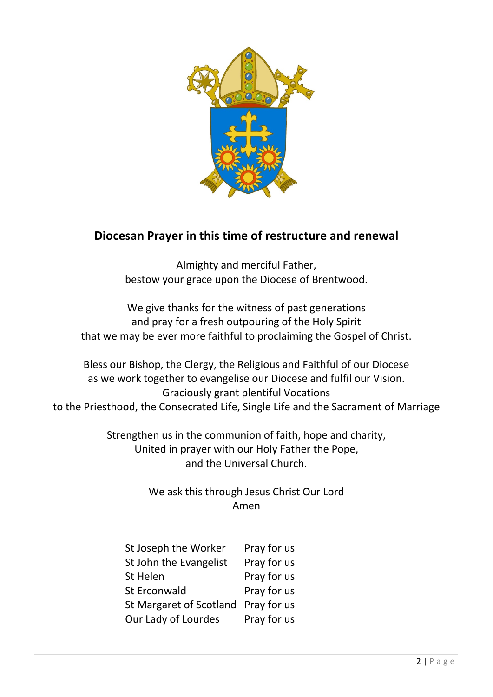

# **Diocesan Prayer in this time of restructure and renewal**

Almighty and merciful Father, bestow your grace upon the Diocese of Brentwood.

We give thanks for the witness of past generations and pray for a fresh outpouring of the Holy Spirit that we may be ever more faithful to proclaiming the Gospel of Christ.

Bless our Bishop, the Clergy, the Religious and Faithful of our Diocese as we work together to evangelise our Diocese and fulfil our Vision. Graciously grant plentiful Vocations to the Priesthood, the Consecrated Life, Single Life and the Sacrament of Marriage

> Strengthen us in the communion of faith, hope and charity, United in prayer with our Holy Father the Pope, and the Universal Church.

> > We ask this through Jesus Christ Our Lord Amen

| St Joseph the Worker           | Pray for us |
|--------------------------------|-------------|
| St John the Evangelist         | Pray for us |
| St Helen                       | Pray for us |
| <b>St Erconwald</b>            | Pray for us |
| <b>St Margaret of Scotland</b> | Pray for us |
| Our Lady of Lourdes            | Pray for us |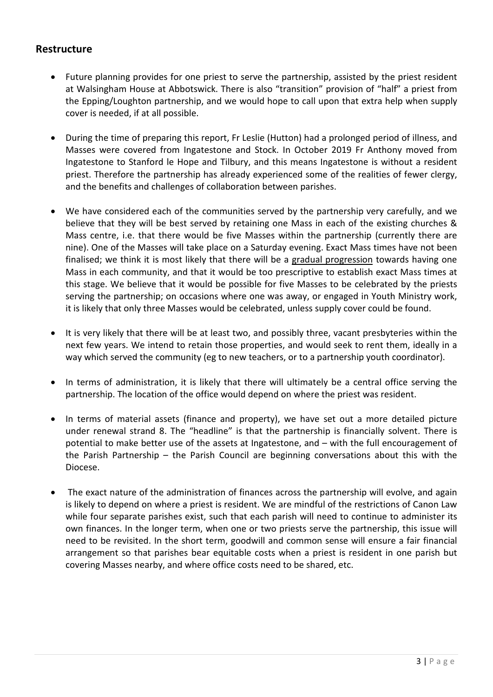# **Restructure**

- Future planning provides for one priest to serve the partnership, assisted by the priest resident at Walsingham House at Abbotswick. There is also "transition" provision of "half" a priest from the Epping/Loughton partnership, and we would hope to call upon that extra help when supply cover is needed, if at all possible.
- During the time of preparing this report, Fr Leslie (Hutton) had a prolonged period of illness, and Masses were covered from Ingatestone and Stock. In October 2019 Fr Anthony moved from Ingatestone to Stanford le Hope and Tilbury, and this means Ingatestone is without a resident priest. Therefore the partnership has already experienced some of the realities of fewer clergy, and the benefits and challenges of collaboration between parishes.
- We have considered each of the communities served by the partnership very carefully, and we believe that they will be best served by retaining one Mass in each of the existing churches & Mass centre, i.e. that there would be five Masses within the partnership (currently there are nine). One of the Masses will take place on a Saturday evening. Exact Mass times have not been finalised; we think it is most likely that there will be a gradual progression towards having one Mass in each community, and that it would be too prescriptive to establish exact Mass times at this stage. We believe that it would be possible for five Masses to be celebrated by the priests serving the partnership; on occasions where one was away, or engaged in Youth Ministry work, it is likely that only three Masses would be celebrated, unless supply cover could be found.
- It is very likely that there will be at least two, and possibly three, vacant presbyteries within the next few years. We intend to retain those properties, and would seek to rent them, ideally in a way which served the community (eg to new teachers, or to a partnership youth coordinator).
- In terms of administration, it is likely that there will ultimately be a central office serving the partnership. The location of the office would depend on where the priest was resident.
- In terms of material assets (finance and property), we have set out a more detailed picture under renewal strand 8. The "headline" is that the partnership is financially solvent. There is potential to make better use of the assets at Ingatestone, and – with the full encouragement of the Parish Partnership – the Parish Council are beginning conversations about this with the Diocese.
- The exact nature of the administration of finances across the partnership will evolve, and again is likely to depend on where a priest is resident. We are mindful of the restrictions of Canon Law while four separate parishes exist, such that each parish will need to continue to administer its own finances. In the longer term, when one or two priests serve the partnership, this issue will need to be revisited. In the short term, goodwill and common sense will ensure a fair financial arrangement so that parishes bear equitable costs when a priest is resident in one parish but covering Masses nearby, and where office costs need to be shared, etc.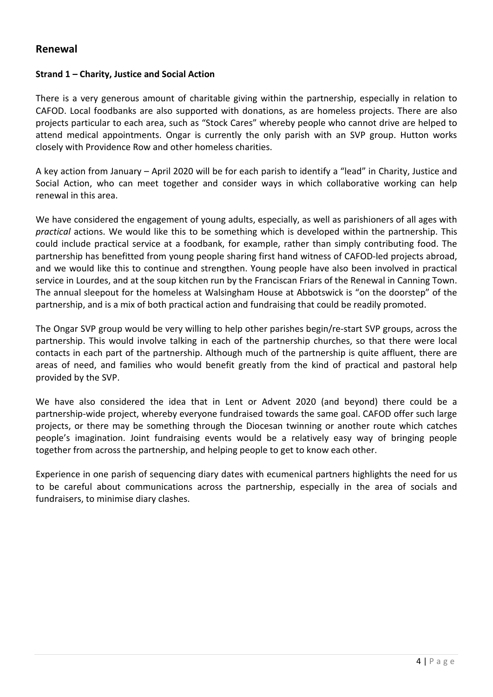# **Renewal**

# **Strand 1 – Charity, Justice and Social Action**

There is a very generous amount of charitable giving within the partnership, especially in relation to CAFOD. Local foodbanks are also supported with donations, as are homeless projects. There are also projects particular to each area, such as "Stock Cares" whereby people who cannot drive are helped to attend medical appointments. Ongar is currently the only parish with an SVP group. Hutton works closely with Providence Row and other homeless charities.

A key action from January – April 2020 will be for each parish to identify a "lead" in Charity, Justice and Social Action, who can meet together and consider ways in which collaborative working can help renewal in this area.

We have considered the engagement of young adults, especially, as well as parishioners of all ages with *practical* actions. We would like this to be something which is developed within the partnership. This could include practical service at a foodbank, for example, rather than simply contributing food. The partnership has benefitted from young people sharing first hand witness of CAFOD-led projects abroad, and we would like this to continue and strengthen. Young people have also been involved in practical service in Lourdes, and at the soup kitchen run by the Franciscan Friars of the Renewal in Canning Town. The annual sleepout for the homeless at Walsingham House at Abbotswick is "on the doorstep" of the partnership, and is a mix of both practical action and fundraising that could be readily promoted.

The Ongar SVP group would be very willing to help other parishes begin/re-start SVP groups, across the partnership. This would involve talking in each of the partnership churches, so that there were local contacts in each part of the partnership. Although much of the partnership is quite affluent, there are areas of need, and families who would benefit greatly from the kind of practical and pastoral help provided by the SVP.

We have also considered the idea that in Lent or Advent 2020 (and beyond) there could be a partnership-wide project, whereby everyone fundraised towards the same goal. CAFOD offer such large projects, or there may be something through the Diocesan twinning or another route which catches people's imagination. Joint fundraising events would be a relatively easy way of bringing people together from across the partnership, and helping people to get to know each other.

Experience in one parish of sequencing diary dates with ecumenical partners highlights the need for us to be careful about communications across the partnership, especially in the area of socials and fundraisers, to minimise diary clashes.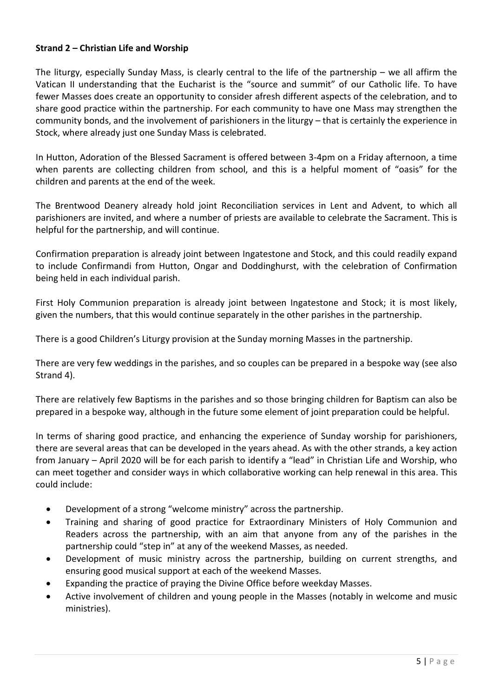# **Strand 2 – Christian Life and Worship**

The liturgy, especially Sunday Mass, is clearly central to the life of the partnership – we all affirm the Vatican II understanding that the Eucharist is the "source and summit" of our Catholic life. To have fewer Masses does create an opportunity to consider afresh different aspects of the celebration, and to share good practice within the partnership. For each community to have one Mass may strengthen the community bonds, and the involvement of parishioners in the liturgy – that is certainly the experience in Stock, where already just one Sunday Mass is celebrated.

In Hutton, Adoration of the Blessed Sacrament is offered between 3-4pm on a Friday afternoon, a time when parents are collecting children from school, and this is a helpful moment of "oasis" for the children and parents at the end of the week.

The Brentwood Deanery already hold joint Reconciliation services in Lent and Advent, to which all parishioners are invited, and where a number of priests are available to celebrate the Sacrament. This is helpful for the partnership, and will continue.

Confirmation preparation is already joint between Ingatestone and Stock, and this could readily expand to include Confirmandi from Hutton, Ongar and Doddinghurst, with the celebration of Confirmation being held in each individual parish.

First Holy Communion preparation is already joint between Ingatestone and Stock; it is most likely, given the numbers, that this would continue separately in the other parishes in the partnership.

There is a good Children's Liturgy provision at the Sunday morning Masses in the partnership.

There are very few weddings in the parishes, and so couples can be prepared in a bespoke way (see also Strand 4).

There are relatively few Baptisms in the parishes and so those bringing children for Baptism can also be prepared in a bespoke way, although in the future some element of joint preparation could be helpful.

In terms of sharing good practice, and enhancing the experience of Sunday worship for parishioners, there are several areas that can be developed in the years ahead. As with the other strands, a key action from January – April 2020 will be for each parish to identify a "lead" in Christian Life and Worship, who can meet together and consider ways in which collaborative working can help renewal in this area. This could include:

- Development of a strong "welcome ministry" across the partnership.
- Training and sharing of good practice for Extraordinary Ministers of Holy Communion and Readers across the partnership, with an aim that anyone from any of the parishes in the partnership could "step in" at any of the weekend Masses, as needed.
- Development of music ministry across the partnership, building on current strengths, and ensuring good musical support at each of the weekend Masses.
- Expanding the practice of praying the Divine Office before weekday Masses.
- Active involvement of children and young people in the Masses (notably in welcome and music ministries).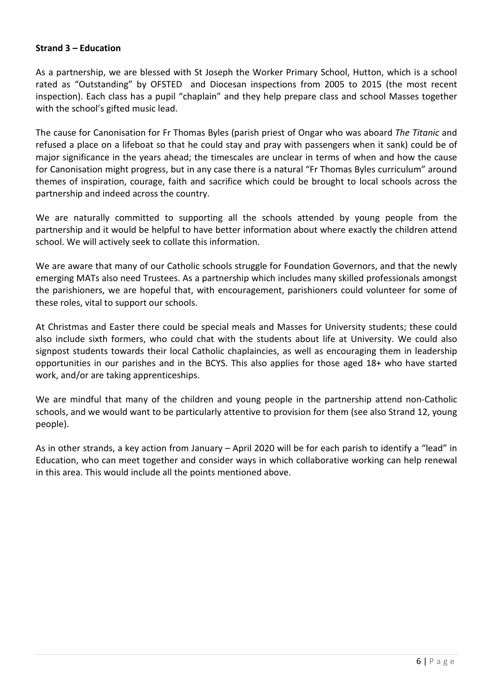# **Strand 3 – Education**

As a partnership, we are blessed with St Joseph the Worker Primary School, Hutton, which is a school rated as "Outstanding" by OFSTED and Diocesan inspections from 2005 to 2015 (the most recent inspection). Each class has a pupil "chaplain" and they help prepare class and school Masses together with the school's gifted music lead.

The cause for Canonisation for Fr Thomas Byles (parish priest of Ongar who was aboard *The Titanic* and refused a place on a lifeboat so that he could stay and pray with passengers when it sank) could be of major significance in the years ahead; the timescales are unclear in terms of when and how the cause for Canonisation might progress, but in any case there is a natural "Fr Thomas Byles curriculum" around themes of inspiration, courage, faith and sacrifice which could be brought to local schools across the partnership and indeed across the country.

We are naturally committed to supporting all the schools attended by young people from the partnership and it would be helpful to have better information about where exactly the children attend school. We will actively seek to collate this information.

We are aware that many of our Catholic schools struggle for Foundation Governors, and that the newly emerging MATs also need Trustees. As a partnership which includes many skilled professionals amongst the parishioners, we are hopeful that, with encouragement, parishioners could volunteer for some of these roles, vital to support our schools.

At Christmas and Easter there could be special meals and Masses for University students; these could also include sixth formers, who could chat with the students about life at University. We could also signpost students towards their local Catholic chaplaincies, as well as encouraging them in leadership opportunities in our parishes and in the BCYS. This also applies for those aged 18+ who have started work, and/or are taking apprenticeships.

We are mindful that many of the children and young people in the partnership attend non-Catholic schools, and we would want to be particularly attentive to provision for them (see also Strand 12, young people).

As in other strands, a key action from January – April 2020 will be for each parish to identify a "lead" in Education, who can meet together and consider ways in which collaborative working can help renewal in this area. This would include all the points mentioned above.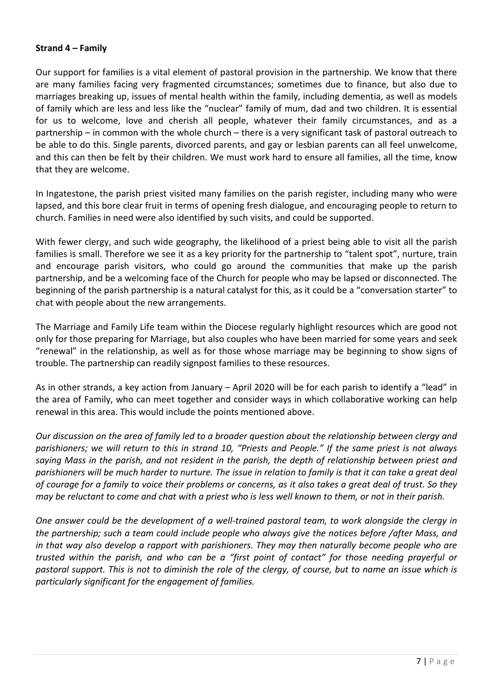# **Strand 4 – Family**

Our support for families is a vital element of pastoral provision in the partnership. We know that there are many families facing very fragmented circumstances; sometimes due to finance, but also due to marriages breaking up, issues of mental health within the family, including dementia, as well as models of family which are less and less like the "nuclear" family of mum, dad and two children. It is essential for us to welcome, love and cherish all people, whatever their family circumstances, and as a partnership – in common with the whole church – there is a very significant task of pastoral outreach to be able to do this. Single parents, divorced parents, and gay or lesbian parents can all feel unwelcome, and this can then be felt by their children. We must work hard to ensure all families, all the time, know that they are welcome.

In Ingatestone, the parish priest visited many families on the parish register, including many who were lapsed, and this bore clear fruit in terms of opening fresh dialogue, and encouraging people to return to church. Families in need were also identified by such visits, and could be supported.

With fewer clergy, and such wide geography, the likelihood of a priest being able to visit all the parish families is small. Therefore we see it as a key priority for the partnership to "talent spot", nurture, train and encourage parish visitors, who could go around the communities that make up the parish partnership, and be a welcoming face of the Church for people who may be lapsed or disconnected. The beginning of the parish partnership is a natural catalyst for this, as it could be a "conversation starter" to chat with people about the new arrangements.

The Marriage and Family Life team within the Diocese regularly highlight resources which are good not only for those preparing for Marriage, but also couples who have been married for some years and seek "renewal" in the relationship, as well as for those whose marriage may be beginning to show signs of trouble. The partnership can readily signpost families to these resources.

As in other strands, a key action from January – April 2020 will be for each parish to identify a "lead" in the area of Family, who can meet together and consider ways in which collaborative working can help renewal in this area. This would include the points mentioned above.

*Our discussion on the area of family led to a broader question about the relationship between clergy and parishioners; we will return to this in strand 10, "Priests and People." If the same priest is not always saying Mass in the parish, and not resident in the parish, the depth of relationship between priest and parishioners will be much harder to nurture. The issue in relation to family is that it can take a great deal of courage for a family to voice their problems or concerns, as it also takes a great deal of trust. So they may be reluctant to come and chat with a priest who is less well known to them, or not in their parish.* 

*One answer could be the development of a well-trained pastoral team, to work alongside the clergy in the partnership; such a team could include people who always give the notices before /after Mass, and in that way also develop a rapport with parishioners. They may then naturally become people who are trusted within the parish, and who can be a "first point of contact" for those needing prayerful or pastoral support. This is not to diminish the role of the clergy, of course, but to name an issue which is particularly significant for the engagement of families.*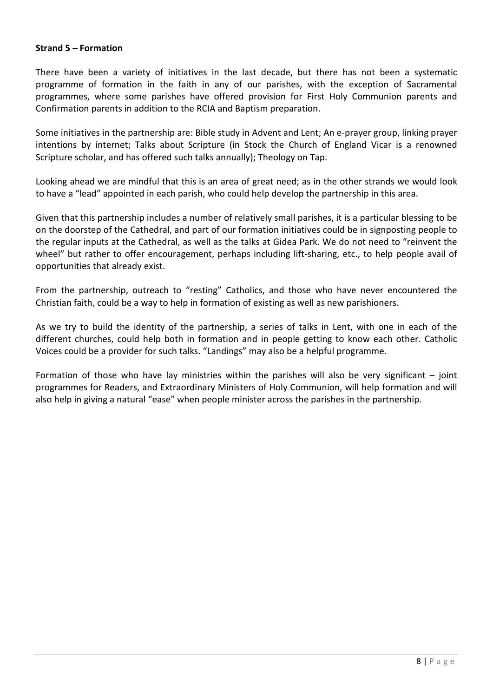# **Strand 5 – Formation**

There have been a variety of initiatives in the last decade, but there has not been a systematic programme of formation in the faith in any of our parishes, with the exception of Sacramental programmes, where some parishes have offered provision for First Holy Communion parents and Confirmation parents in addition to the RCIA and Baptism preparation.

Some initiatives in the partnership are: Bible study in Advent and Lent; An e-prayer group, linking prayer intentions by internet; Talks about Scripture (in Stock the Church of England Vicar is a renowned Scripture scholar, and has offered such talks annually); Theology on Tap.

Looking ahead we are mindful that this is an area of great need; as in the other strands we would look to have a "lead" appointed in each parish, who could help develop the partnership in this area.

Given that this partnership includes a number of relatively small parishes, it is a particular blessing to be on the doorstep of the Cathedral, and part of our formation initiatives could be in signposting people to the regular inputs at the Cathedral, as well as the talks at Gidea Park. We do not need to "reinvent the wheel" but rather to offer encouragement, perhaps including lift-sharing, etc., to help people avail of opportunities that already exist.

From the partnership, outreach to "resting" Catholics, and those who have never encountered the Christian faith, could be a way to help in formation of existing as well as new parishioners.

As we try to build the identity of the partnership, a series of talks in Lent, with one in each of the different churches, could help both in formation and in people getting to know each other. Catholic Voices could be a provider for such talks. "Landings" may also be a helpful programme.

Formation of those who have lay ministries within the parishes will also be very significant  $-$  joint programmes for Readers, and Extraordinary Ministers of Holy Communion, will help formation and will also help in giving a natural "ease" when people minister across the parishes in the partnership.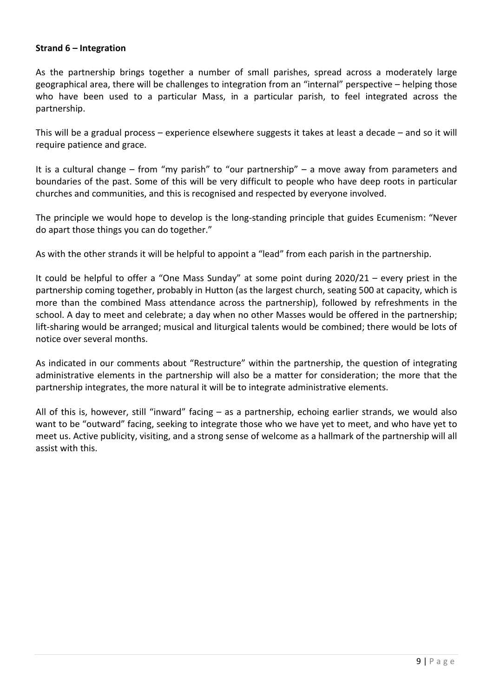# **Strand 6 – Integration**

As the partnership brings together a number of small parishes, spread across a moderately large geographical area, there will be challenges to integration from an "internal" perspective – helping those who have been used to a particular Mass, in a particular parish, to feel integrated across the partnership.

This will be a gradual process – experience elsewhere suggests it takes at least a decade – and so it will require patience and grace.

It is a cultural change – from "my parish" to "our partnership" – a move away from parameters and boundaries of the past. Some of this will be very difficult to people who have deep roots in particular churches and communities, and this is recognised and respected by everyone involved.

The principle we would hope to develop is the long-standing principle that guides Ecumenism: "Never do apart those things you can do together."

As with the other strands it will be helpful to appoint a "lead" from each parish in the partnership.

It could be helpful to offer a "One Mass Sunday" at some point during 2020/21 – every priest in the partnership coming together, probably in Hutton (as the largest church, seating 500 at capacity, which is more than the combined Mass attendance across the partnership), followed by refreshments in the school. A day to meet and celebrate; a day when no other Masses would be offered in the partnership; lift-sharing would be arranged; musical and liturgical talents would be combined; there would be lots of notice over several months.

As indicated in our comments about "Restructure" within the partnership, the question of integrating administrative elements in the partnership will also be a matter for consideration; the more that the partnership integrates, the more natural it will be to integrate administrative elements.

All of this is, however, still "inward" facing – as a partnership, echoing earlier strands, we would also want to be "outward" facing, seeking to integrate those who we have yet to meet, and who have yet to meet us. Active publicity, visiting, and a strong sense of welcome as a hallmark of the partnership will all assist with this.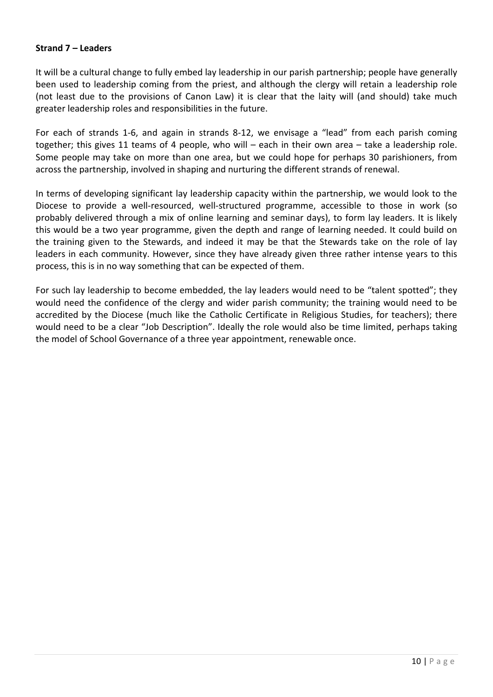# **Strand 7 – Leaders**

It will be a cultural change to fully embed lay leadership in our parish partnership; people have generally been used to leadership coming from the priest, and although the clergy will retain a leadership role (not least due to the provisions of Canon Law) it is clear that the laity will (and should) take much greater leadership roles and responsibilities in the future.

For each of strands 1-6, and again in strands 8-12, we envisage a "lead" from each parish coming together; this gives 11 teams of 4 people, who will – each in their own area – take a leadership role. Some people may take on more than one area, but we could hope for perhaps 30 parishioners, from across the partnership, involved in shaping and nurturing the different strands of renewal.

In terms of developing significant lay leadership capacity within the partnership, we would look to the Diocese to provide a well-resourced, well-structured programme, accessible to those in work (so probably delivered through a mix of online learning and seminar days), to form lay leaders. It is likely this would be a two year programme, given the depth and range of learning needed. It could build on the training given to the Stewards, and indeed it may be that the Stewards take on the role of lay leaders in each community. However, since they have already given three rather intense years to this process, this is in no way something that can be expected of them.

For such lay leadership to become embedded, the lay leaders would need to be "talent spotted"; they would need the confidence of the clergy and wider parish community; the training would need to be accredited by the Diocese (much like the Catholic Certificate in Religious Studies, for teachers); there would need to be a clear "Job Description". Ideally the role would also be time limited, perhaps taking the model of School Governance of a three year appointment, renewable once.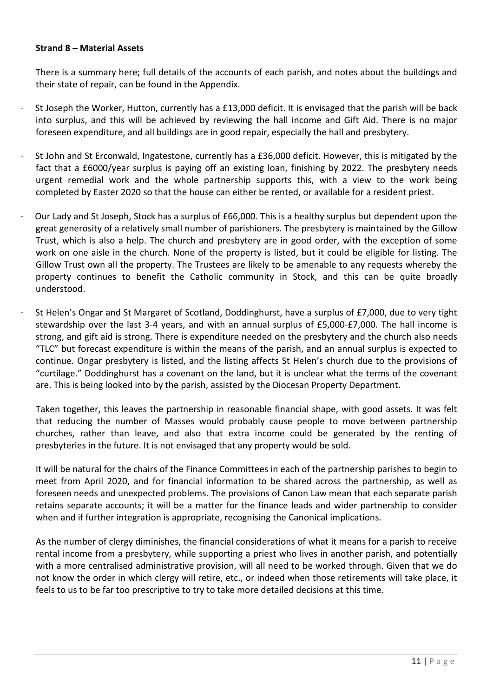# **Strand 8 – Material Assets**

There is a summary here; full details of the accounts of each parish, and notes about the buildings and their state of repair, can be found in the Appendix.

- St Joseph the Worker, Hutton, currently has a £13,000 deficit. It is envisaged that the parish will be back into surplus, and this will be achieved by reviewing the hall income and Gift Aid. There is no major foreseen expenditure, and all buildings are in good repair, especially the hall and presbytery.
- St John and St Erconwald, Ingatestone, currently has a £36,000 deficit. However, this is mitigated by the fact that a £6000/year surplus is paying off an existing loan, finishing by 2022. The presbytery needs urgent remedial work and the whole partnership supports this, with a view to the work being completed by Easter 2020 so that the house can either be rented, or available for a resident priest.
- · Our Lady and St Joseph, Stock has a surplus of £66,000. This is a healthy surplus but dependent upon the great generosity of a relatively small number of parishioners. The presbytery is maintained by the Gillow Trust, which is also a help. The church and presbytery are in good order, with the exception of some work on one aisle in the church. None of the property is listed, but it could be eligible for listing. The Gillow Trust own all the property. The Trustees are likely to be amenable to any requests whereby the property continues to benefit the Catholic community in Stock, and this can be quite broadly understood.
	- St Helen's Ongar and St Margaret of Scotland, Doddinghurst, have a surplus of £7,000, due to very tight stewardship over the last 3-4 years, and with an annual surplus of £5,000-£7,000. The hall income is strong, and gift aid is strong. There is expenditure needed on the presbytery and the church also needs "TLC" but forecast expenditure is within the means of the parish, and an annual surplus is expected to continue. Ongar presbytery is listed, and the listing affects St Helen's church due to the provisions of "curtilage." Doddinghurst has a covenant on the land, but it is unclear what the terms of the covenant are. This is being looked into by the parish, assisted by the Diocesan Property Department.

Taken together, this leaves the partnership in reasonable financial shape, with good assets. It was felt that reducing the number of Masses would probably cause people to move between partnership churches, rather than leave, and also that extra income could be generated by the renting of presbyteries in the future. It is not envisaged that any property would be sold.

It will be natural for the chairs of the Finance Committees in each of the partnership parishes to begin to meet from April 2020, and for financial information to be shared across the partnership, as well as foreseen needs and unexpected problems. The provisions of Canon Law mean that each separate parish retains separate accounts; it will be a matter for the finance leads and wider partnership to consider when and if further integration is appropriate, recognising the Canonical implications.

As the number of clergy diminishes, the financial considerations of what it means for a parish to receive rental income from a presbytery, while supporting a priest who lives in another parish, and potentially with a more centralised administrative provision, will all need to be worked through. Given that we do not know the order in which clergy will retire, etc., or indeed when those retirements will take place, it feels to us to be far too prescriptive to try to take more detailed decisions at this time.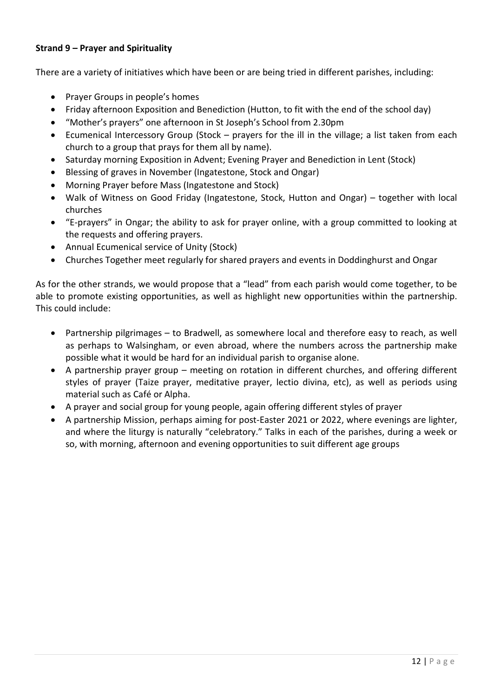# **Strand 9 – Prayer and Spirituality**

There are a variety of initiatives which have been or are being tried in different parishes, including:

- Prayer Groups in people's homes
- Friday afternoon Exposition and Benediction (Hutton, to fit with the end of the school day)
- "Mother's prayers" one afternoon in St Joseph's School from 2.30pm
- Ecumenical Intercessory Group (Stock prayers for the ill in the village; a list taken from each church to a group that prays for them all by name).
- Saturday morning Exposition in Advent; Evening Prayer and Benediction in Lent (Stock)
- Blessing of graves in November (Ingatestone, Stock and Ongar)
- Morning Prayer before Mass (Ingatestone and Stock)
- Walk of Witness on Good Friday (Ingatestone, Stock, Hutton and Ongar) together with local churches
- "E-prayers" in Ongar; the ability to ask for prayer online, with a group committed to looking at the requests and offering prayers.
- Annual Ecumenical service of Unity (Stock)
- Churches Together meet regularly for shared prayers and events in Doddinghurst and Ongar

As for the other strands, we would propose that a "lead" from each parish would come together, to be able to promote existing opportunities, as well as highlight new opportunities within the partnership. This could include:

- Partnership pilgrimages to Bradwell, as somewhere local and therefore easy to reach, as well as perhaps to Walsingham, or even abroad, where the numbers across the partnership make possible what it would be hard for an individual parish to organise alone.
- A partnership prayer group meeting on rotation in different churches, and offering different styles of prayer (Taize prayer, meditative prayer, lectio divina, etc), as well as periods using material such as Café or Alpha.
- A prayer and social group for young people, again offering different styles of prayer
- A partnership Mission, perhaps aiming for post-Easter 2021 or 2022, where evenings are lighter, and where the liturgy is naturally "celebratory." Talks in each of the parishes, during a week or so, with morning, afternoon and evening opportunities to suit different age groups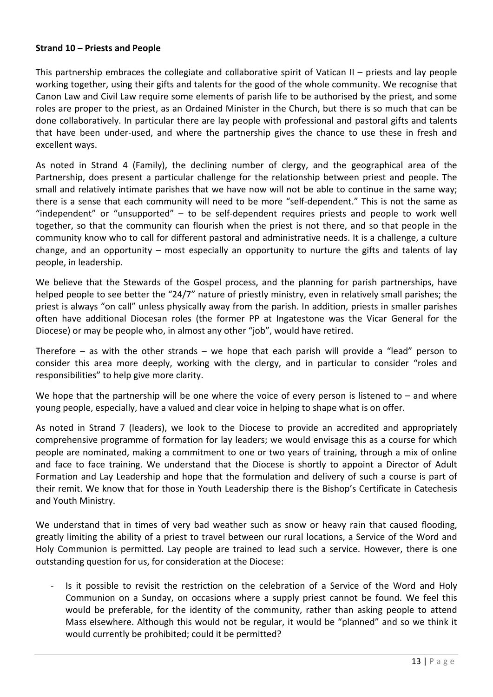# **Strand 10 – Priests and People**

This partnership embraces the collegiate and collaborative spirit of Vatican II – priests and lay people working together, using their gifts and talents for the good of the whole community. We recognise that Canon Law and Civil Law require some elements of parish life to be authorised by the priest, and some roles are proper to the priest, as an Ordained Minister in the Church, but there is so much that can be done collaboratively. In particular there are lay people with professional and pastoral gifts and talents that have been under-used, and where the partnership gives the chance to use these in fresh and excellent ways.

As noted in Strand 4 (Family), the declining number of clergy, and the geographical area of the Partnership, does present a particular challenge for the relationship between priest and people. The small and relatively intimate parishes that we have now will not be able to continue in the same way; there is a sense that each community will need to be more "self-dependent." This is not the same as "independent" or "unsupported" – to be self-dependent requires priests and people to work well together, so that the community can flourish when the priest is not there, and so that people in the community know who to call for different pastoral and administrative needs. It is a challenge, a culture change, and an opportunity – most especially an opportunity to nurture the gifts and talents of lay people, in leadership.

We believe that the Stewards of the Gospel process, and the planning for parish partnerships, have helped people to see better the "24/7" nature of priestly ministry, even in relatively small parishes; the priest is always "on call" unless physically away from the parish. In addition, priests in smaller parishes often have additional Diocesan roles (the former PP at Ingatestone was the Vicar General for the Diocese) or may be people who, in almost any other "job", would have retired.

Therefore – as with the other strands – we hope that each parish will provide a "lead" person to consider this area more deeply, working with the clergy, and in particular to consider "roles and responsibilities" to help give more clarity.

We hope that the partnership will be one where the voice of every person is listened to – and where young people, especially, have a valued and clear voice in helping to shape what is on offer.

As noted in Strand 7 (leaders), we look to the Diocese to provide an accredited and appropriately comprehensive programme of formation for lay leaders; we would envisage this as a course for which people are nominated, making a commitment to one or two years of training, through a mix of online and face to face training. We understand that the Diocese is shortly to appoint a Director of Adult Formation and Lay Leadership and hope that the formulation and delivery of such a course is part of their remit. We know that for those in Youth Leadership there is the Bishop's Certificate in Catechesis and Youth Ministry.

We understand that in times of very bad weather such as snow or heavy rain that caused flooding, greatly limiting the ability of a priest to travel between our rural locations, a Service of the Word and Holy Communion is permitted. Lay people are trained to lead such a service. However, there is one outstanding question for us, for consideration at the Diocese:

Is it possible to revisit the restriction on the celebration of a Service of the Word and Holy Communion on a Sunday, on occasions where a supply priest cannot be found. We feel this would be preferable, for the identity of the community, rather than asking people to attend Mass elsewhere. Although this would not be regular, it would be "planned" and so we think it would currently be prohibited; could it be permitted?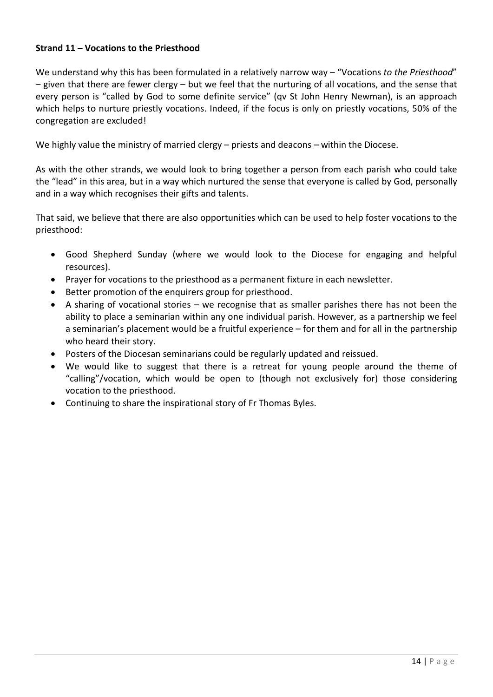# **Strand 11 – Vocations to the Priesthood**

We understand why this has been formulated in a relatively narrow way – "Vocations *to the Priesthood*" – given that there are fewer clergy – but we feel that the nurturing of all vocations, and the sense that every person is "called by God to some definite service" (qv St John Henry Newman), is an approach which helps to nurture priestly vocations. Indeed, if the focus is only on priestly vocations, 50% of the congregation are excluded!

We highly value the ministry of married clergy – priests and deacons – within the Diocese.

As with the other strands, we would look to bring together a person from each parish who could take the "lead" in this area, but in a way which nurtured the sense that everyone is called by God, personally and in a way which recognises their gifts and talents.

That said, we believe that there are also opportunities which can be used to help foster vocations to the priesthood:

- Good Shepherd Sunday (where we would look to the Diocese for engaging and helpful resources).
- Prayer for vocations to the priesthood as a permanent fixture in each newsletter.
- Better promotion of the enquirers group for priesthood.
- A sharing of vocational stories we recognise that as smaller parishes there has not been the ability to place a seminarian within any one individual parish. However, as a partnership we feel a seminarian's placement would be a fruitful experience – for them and for all in the partnership who heard their story.
- Posters of the Diocesan seminarians could be regularly updated and reissued.
- We would like to suggest that there is a retreat for young people around the theme of "calling"/vocation, which would be open to (though not exclusively for) those considering vocation to the priesthood.
- Continuing to share the inspirational story of Fr Thomas Byles.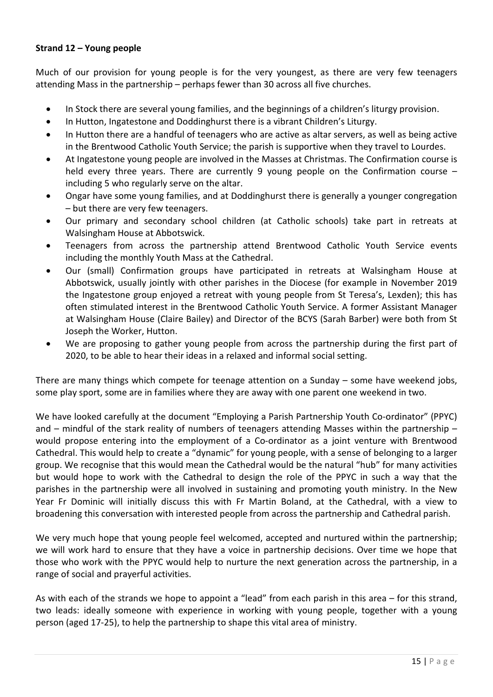# **Strand 12 – Young people**

Much of our provision for young people is for the very youngest, as there are very few teenagers attending Mass in the partnership – perhaps fewer than 30 across all five churches.

- In Stock there are several young families, and the beginnings of a children's liturgy provision.
- In Hutton, Ingatestone and Doddinghurst there is a vibrant Children's Liturgy.
- In Hutton there are a handful of teenagers who are active as altar servers, as well as being active in the Brentwood Catholic Youth Service; the parish is supportive when they travel to Lourdes.
- At Ingatestone young people are involved in the Masses at Christmas. The Confirmation course is held every three years. There are currently 9 young people on the Confirmation course – including 5 who regularly serve on the altar.
- Ongar have some young families, and at Doddinghurst there is generally a younger congregation – but there are very few teenagers.
- Our primary and secondary school children (at Catholic schools) take part in retreats at Walsingham House at Abbotswick.
- Teenagers from across the partnership attend Brentwood Catholic Youth Service events including the monthly Youth Mass at the Cathedral.
- Our (small) Confirmation groups have participated in retreats at Walsingham House at Abbotswick, usually jointly with other parishes in the Diocese (for example in November 2019 the Ingatestone group enjoyed a retreat with young people from St Teresa's, Lexden); this has often stimulated interest in the Brentwood Catholic Youth Service. A former Assistant Manager at Walsingham House (Claire Bailey) and Director of the BCYS (Sarah Barber) were both from St Joseph the Worker, Hutton.
- We are proposing to gather young people from across the partnership during the first part of 2020, to be able to hear their ideas in a relaxed and informal social setting.

There are many things which compete for teenage attention on a Sunday – some have weekend jobs, some play sport, some are in families where they are away with one parent one weekend in two.

We have looked carefully at the document "Employing a Parish Partnership Youth Co-ordinator" (PPYC) and – mindful of the stark reality of numbers of teenagers attending Masses within the partnership – would propose entering into the employment of a Co-ordinator as a joint venture with Brentwood Cathedral. This would help to create a "dynamic" for young people, with a sense of belonging to a larger group. We recognise that this would mean the Cathedral would be the natural "hub" for many activities but would hope to work with the Cathedral to design the role of the PPYC in such a way that the parishes in the partnership were all involved in sustaining and promoting youth ministry. In the New Year Fr Dominic will initially discuss this with Fr Martin Boland, at the Cathedral, with a view to broadening this conversation with interested people from across the partnership and Cathedral parish.

We very much hope that young people feel welcomed, accepted and nurtured within the partnership; we will work hard to ensure that they have a voice in partnership decisions. Over time we hope that those who work with the PPYC would help to nurture the next generation across the partnership, in a range of social and prayerful activities.

As with each of the strands we hope to appoint a "lead" from each parish in this area – for this strand, two leads: ideally someone with experience in working with young people, together with a young person (aged 17-25), to help the partnership to shape this vital area of ministry.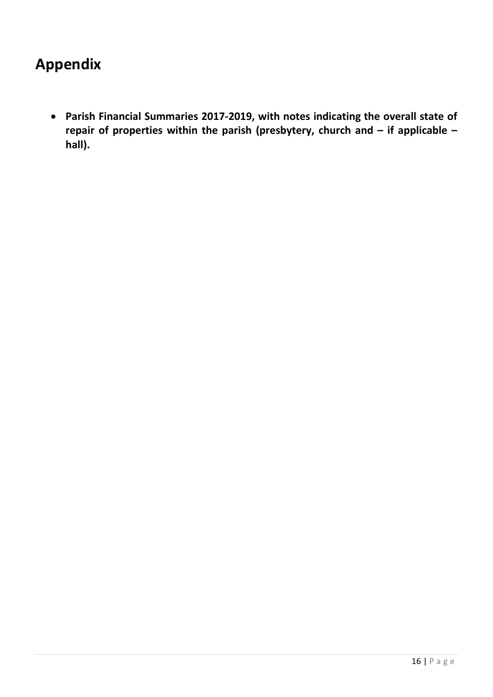# **Appendix**

• **Parish Financial Summaries 2017-2019, with notes indicating the overall state of repair of properties within the parish (presbytery, church and – if applicable – hall).**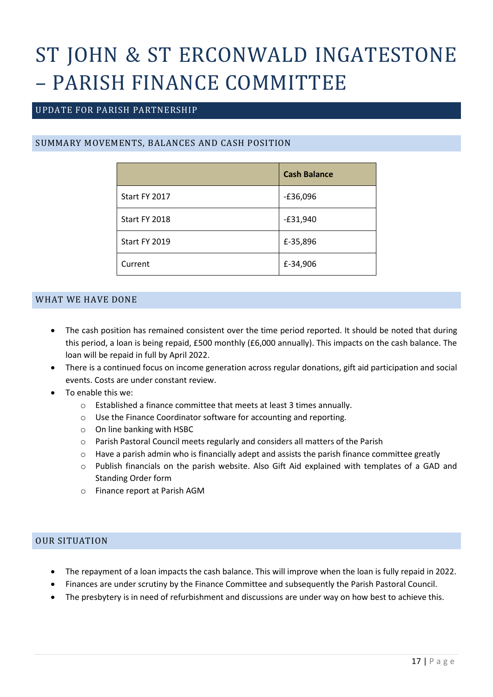# ST JOHN & ST ERCONWALD INGATESTONE – PARISH FINANCE COMMITTEE

# UPDATE FOR PARISH PARTNERSHIP

# SUMMARY MOVEMENTS, BALANCES AND CASH POSITION

|               | <b>Cash Balance</b> |
|---------------|---------------------|
| Start FY 2017 | $-£36,096$          |
| Start FY 2018 | $-£31,940$          |
| Start FY 2019 | £-35,896            |
| Current       | £-34,906            |

# WHAT WE HAVE DONE

- The cash position has remained consistent over the time period reported. It should be noted that during this period, a loan is being repaid, £500 monthly (£6,000 annually). This impacts on the cash balance. The loan will be repaid in full by April 2022.
- There is a continued focus on income generation across regular donations, gift aid participation and social events. Costs are under constant review.
- To enable this we:
	- o Established a finance committee that meets at least 3 times annually.
	- o Use the Finance Coordinator software for accounting and reporting.
	- o On line banking with HSBC
	- o Parish Pastoral Council meets regularly and considers all matters of the Parish
	- o Have a parish admin who is financially adept and assists the parish finance committee greatly
	- o Publish financials on the parish website. Also Gift Aid explained with templates of a GAD and Standing Order form
	- o Finance report at Parish AGM

# OUR SITUATION

- The repayment of a loan impacts the cash balance. This will improve when the loan is fully repaid in 2022.
- Finances are under scrutiny by the Finance Committee and subsequently the Parish Pastoral Council.
- The presbytery is in need of refurbishment and discussions are under way on how best to achieve this.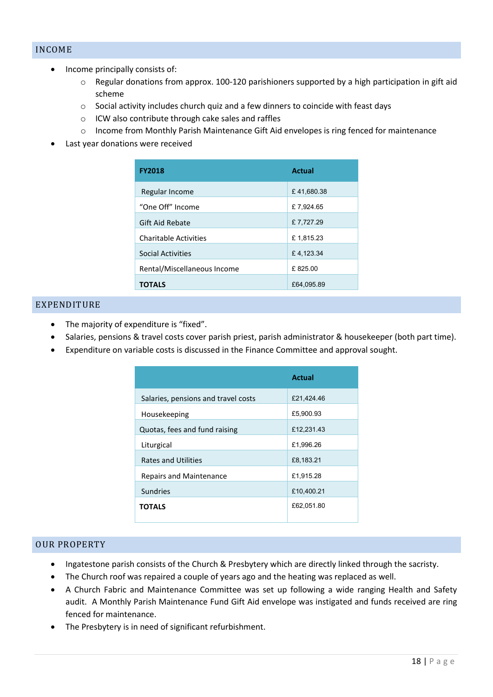# INCOME

- Income principally consists of:
	- o Regular donations from approx. 100-120 parishioners supported by a high participation in gift aid scheme
	- $\circ$  Social activity includes church quiz and a few dinners to coincide with feast days
	- o ICW also contribute through cake sales and raffles
	- o Income from Monthly Parish Maintenance Gift Aid envelopes is ring fenced for maintenance
- Last year donations were received

| <b>FY2018</b>                | <b>Actual</b> |
|------------------------------|---------------|
| Regular Income               | £41,680.38    |
| "One Off" Income             | £7,924.65     |
| Gift Aid Rebate              | £7,727.29     |
| <b>Charitable Activities</b> | £1,815.23     |
| <b>Social Activities</b>     | £4,123.34     |
| Rental/Miscellaneous Income  | £825.00       |
| <b>TOTALS</b>                | £64,095.89    |

# EXPENDITURE

- The majority of expenditure is "fixed".
- Salaries, pensions & travel costs cover parish priest, parish administrator & housekeeper (both part time).
- Expenditure on variable costs is discussed in the Finance Committee and approval sought.

|                                     | <b>Actual</b> |
|-------------------------------------|---------------|
| Salaries, pensions and travel costs | £21,424.46    |
| Housekeeping                        | £5,900.93     |
| Quotas, fees and fund raising       | £12,231.43    |
| Liturgical                          | £1,996.26     |
| <b>Rates and Utilities</b>          | £8,183.21     |
| Repairs and Maintenance             | £1,915.28     |
| Sundries                            | £10,400.21    |
| TOTALS                              | £62,051.80    |

### OUR PROPERTY

- Ingatestone parish consists of the Church & Presbytery which are directly linked through the sacristy.
- The Church roof was repaired a couple of years ago and the heating was replaced as well.
- A Church Fabric and Maintenance Committee was set up following a wide ranging Health and Safety audit. A Monthly Parish Maintenance Fund Gift Aid envelope was instigated and funds received are ring fenced for maintenance.
- The Presbytery is in need of significant refurbishment.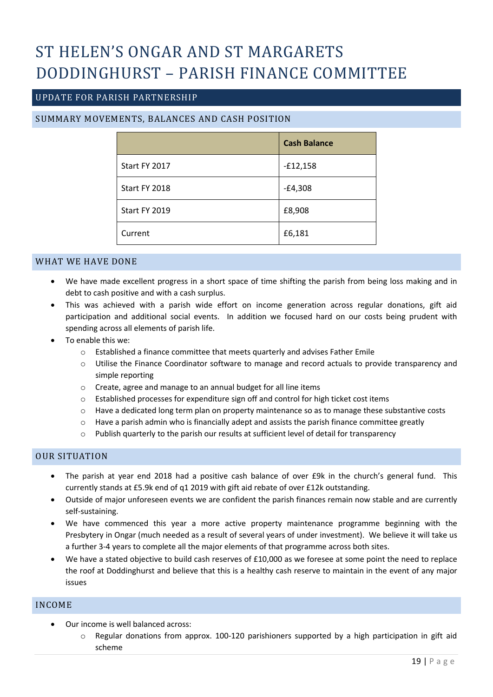# ST HELEN'S ONGAR AND ST MARGARETS DODDINGHURST – PARISH FINANCE COMMITTEE

# UPDATE FOR PARISH PARTNERSHIP

# SUMMARY MOVEMENTS, BALANCES AND CASH POSITION

|               | <b>Cash Balance</b> |
|---------------|---------------------|
| Start FY 2017 | $-£12,158$          |
| Start FY 2018 | $-E4,308$           |
| Start FY 2019 | £8,908              |
| Current       | £6,181              |

#### WHAT WE HAVE DONE

- We have made excellent progress in a short space of time shifting the parish from being loss making and in debt to cash positive and with a cash surplus.
- This was achieved with a parish wide effort on income generation across regular donations, gift aid participation and additional social events. In addition we focused hard on our costs being prudent with spending across all elements of parish life.
- To enable this we:
	- o Established a finance committee that meets quarterly and advises Father Emile
	- o Utilise the Finance Coordinator software to manage and record actuals to provide transparency and simple reporting
	- o Create, agree and manage to an annual budget for all line items
	- o Established processes for expenditure sign off and control for high ticket cost items
	- o Have a dedicated long term plan on property maintenance so as to manage these substantive costs
	- $\circ$  Have a parish admin who is financially adept and assists the parish finance committee greatly
	- o Publish quarterly to the parish our results at sufficient level of detail for transparency

### OUR SITUATION

- The parish at year end 2018 had a positive cash balance of over £9k in the church's general fund. This currently stands at £5.9k end of q1 2019 with gift aid rebate of over £12k outstanding.
- Outside of major unforeseen events we are confident the parish finances remain now stable and are currently self-sustaining.
- We have commenced this year a more active property maintenance programme beginning with the Presbytery in Ongar (much needed as a result of several years of under investment). We believe it will take us a further 3-4 years to complete all the major elements of that programme across both sites.
- We have a stated objective to build cash reserves of £10,000 as we foresee at some point the need to replace the roof at Doddinghurst and believe that this is a healthy cash reserve to maintain in the event of any major issues

#### INCOME

- Our income is well balanced across:
	- $\circ$  Regular donations from approx. 100-120 parishioners supported by a high participation in gift aid scheme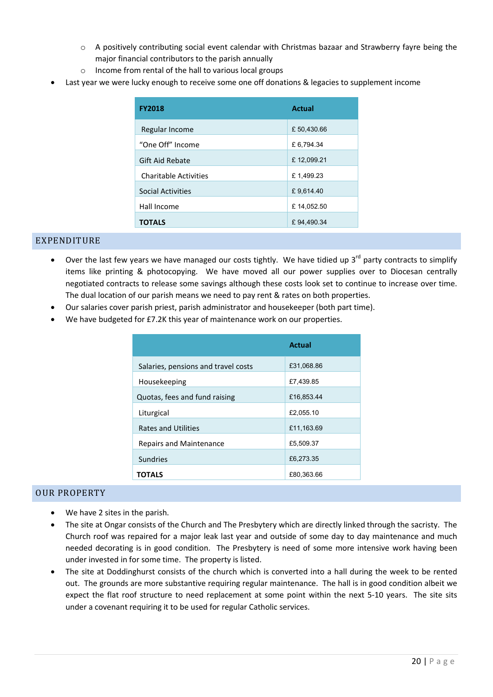- $\circ$  A positively contributing social event calendar with Christmas bazaar and Strawberry fayre being the major financial contributors to the parish annually
- o Income from rental of the hall to various local groups
- Last year we were lucky enough to receive some one off donations & legacies to supplement income

| <b>FY2018</b>                | Actual      |
|------------------------------|-------------|
| Regular Income               | £ 50,430.66 |
| "One Off" Income             | £ 6,794.34  |
| <b>Gift Aid Rebate</b>       | £12,099.21  |
| <b>Charitable Activities</b> | £1,499.23   |
| <b>Social Activities</b>     | £9,614.40   |
| Hall Income                  | £14,052.50  |
| <b>TOTALS</b>                | £94,490.34  |

# EXPENDITURE

- Over the last few years we have managed our costs tightly. We have tidied up  $3<sup>rd</sup>$  party contracts to simplify items like printing & photocopying. We have moved all our power supplies over to Diocesan centrally negotiated contracts to release some savings although these costs look set to continue to increase over time. The dual location of our parish means we need to pay rent & rates on both properties.
- Our salaries cover parish priest, parish administrator and housekeeper (both part time).
- We have budgeted for £7.2K this year of maintenance work on our properties.

|                                     | <b>Actual</b> |
|-------------------------------------|---------------|
| Salaries, pensions and travel costs | £31,068.86    |
| Housekeeping                        | £7,439.85     |
| Quotas, fees and fund raising       | £16,853.44    |
| Liturgical                          | £2,055.10     |
| <b>Rates and Utilities</b>          | £11,163.69    |
| <b>Repairs and Maintenance</b>      | £5,509.37     |
| <b>Sundries</b>                     | £6,273.35     |
| TOTALS                              | £80,363.66    |

# OUR PROPERTY

- We have 2 sites in the parish.
- The site at Ongar consists of the Church and The Presbytery which are directly linked through the sacristy. The Church roof was repaired for a major leak last year and outside of some day to day maintenance and much needed decorating is in good condition. The Presbytery is need of some more intensive work having been under invested in for some time. The property is listed.
- The site at Doddinghurst consists of the church which is converted into a hall during the week to be rented out. The grounds are more substantive requiring regular maintenance. The hall is in good condition albeit we expect the flat roof structure to need replacement at some point within the next 5-10 years. The site sits under a covenant requiring it to be used for regular Catholic services.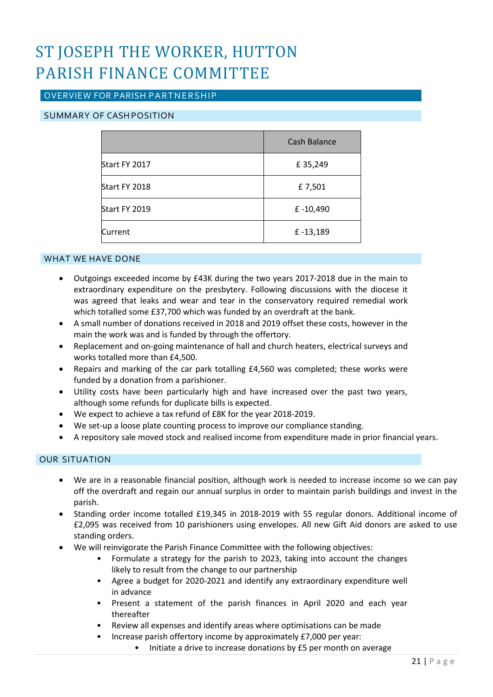# ST JOSEPH THE WORKER, HUTTON PARISH FINANCE COMMITTEE

# OVERVIEW FOR PARISH PARTNERSHIP

# SUMMARY OF CASHPOSITION

|               | Cash Balance |
|---------------|--------------|
| Start FY 2017 | £35,249      |
| Start FY 2018 | £7,501       |
| Start FY 2019 | £-10,490     |
| Current       | £-13,189     |

# WHAT WE HAVE DONE

- Outgoings exceeded income by £43K during the two years 2017-2018 due in the main to extraordinary expenditure on the presbytery. Following discussions with the diocese it was agreed that leaks and wear and tear in the conservatory required remedial work which totalled some £37,700 which was funded by an overdraft at the bank.
- A small number of donations received in 2018 and 2019 offset these costs, however in the main the work was and is funded by through the offertory.
- Replacement and on-going maintenance of hall and church heaters, electrical surveys and works totalled more than £4,500.
- Repairs and marking of the car park totalling £4,560 was completed; these works were funded by a donation from a parishioner.
- Utility costs have been particularly high and have increased over the past two years, although some refunds for duplicate bills is expected.
- We expect to achieve a tax refund of £8K for the year 2018-2019.
- We set-up a loose plate counting process to improve our compliance standing.
- A repository sale moved stock and realised income from expenditure made in prior financial years.

# OUR SITUATION

- We are in a reasonable financial position, although work is needed to increase income so we can pay off the overdraft and regain our annual surplus in order to maintain parish buildings and invest in the parish.
- Standing order income totalled £19,345 in 2018-2019 with 55 regular donors. Additional income of £2,095 was received from 10 parishioners using envelopes. All new Gift Aid donors are asked to use standing orders.
- We will reinvigorate the Parish Finance Committee with the following objectives:
	- Formulate a strategy for the parish to 2023, taking into account the changes likely to result from the change to our partnership
	- Agree a budget for 2020-2021 and identify any extraordinary expenditure well in advance
	- Present a statement of the parish finances in April 2020 and each year thereafter
	- Review all expenses and identify areas where optimisations can be made
		- Increase parish offertory income by approximately £7,000 per year:
			- Initiate a drive to increase donations by £5 per month on average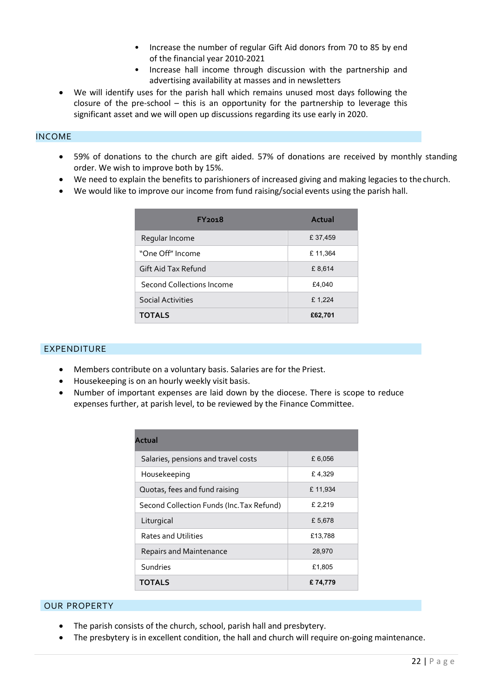- Increase the number of regular Gift Aid donors from 70 to 85 by end of the financial year 2010-2021
- Increase hall income through discussion with the partnership and advertising availability at masses and in newsletters
- We will identify uses for the parish hall which remains unused most days following the closure of the pre-school – this is an opportunity for the partnership to leverage this significant asset and we will open up discussions regarding its use early in 2020.

# INCOME

- 59% of donations to the church are gift aided. 57% of donations are received by monthly standing order. We wish to improve both by 15%.
- We need to explain the benefits to parishioners of increased giving and making legacies to thechurch.
- We would like to improve our income from fund raising/social events using the parish hall.

| FY <sub>201</sub> 8       | Actual  |
|---------------------------|---------|
| Regular Income            | £37,459 |
| "One Off" Income          | £11,364 |
| Gift Aid Tax Refund       | £8,614  |
| Second Collections Income | £4,040  |
| Social Activities         | £1,224  |
| <b>TOTALS</b>             | £62,701 |

# EXPENDITURE

- Members contribute on a voluntary basis. Salaries are for the Priest.
- Housekeeping is on an hourly weekly visit basis.
- Number of important expenses are laid down by the diocese. There is scope to reduce expenses further, at parish level, to be reviewed by the Finance Committee.

| Actual                                    |         |
|-------------------------------------------|---------|
| Salaries, pensions and travel costs       | £6,056  |
| Housekeeping                              | £4,329  |
| Quotas, fees and fund raising             | £11,934 |
| Second Collection Funds (Inc. Tax Refund) | £ 2,219 |
| Liturgical                                | £5,678  |
| <b>Rates and Utilities</b>                | £13,788 |
| <b>Repairs and Maintenance</b>            | 28,970  |
| Sundries                                  | £1,805  |
| <b>TOTALS</b>                             | £74,779 |

# OUR PROPERTY

- The parish consists of the church, school, parish hall and presbytery.
- The presbytery is in excellent condition, the hall and church will require on-going maintenance.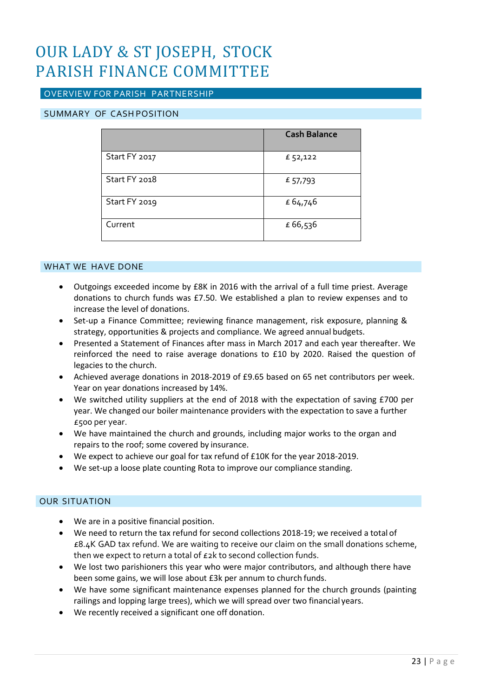# OUR LADY & ST JOSEPH, STOCK PARISH FINANCE COMMITTEE

# OVERVIEW FOR PARISH PARTNERSHIP

# SUMMARY OF CASH POSITION

|               | <b>Cash Balance</b> |
|---------------|---------------------|
| Start FY 2017 | £ 52,122            |
| Start FY 2018 | £ 57,793            |
| Start FY 2019 | £64,746             |
| Current       | £66,536             |

# WHAT WE HAVE DONE

- Outgoings exceeded income by £8K in 2016 with the arrival of a full time priest. Average donations to church funds was £7.50. We established a plan to review expenses and to increase the level of donations.
- Set-up a Finance Committee; reviewing finance management, risk exposure, planning & strategy, opportunities & projects and compliance. We agreed annual budgets.
- Presented a Statement of Finances after mass in March 2017 and each year thereafter. We reinforced the need to raise average donations to £10 by 2020. Raised the question of legacies to the church.
- Achieved average donations in 2018-2019 of £9.65 based on 65 net contributors per week. Year on year donations increased by 14%.
- We switched utility suppliers at the end of 2018 with the expectation of saving £700 per year. We changed our boiler maintenance providers with the expectation to save a further £500 per year.
- We have maintained the church and grounds, including major works to the organ and repairs to the roof; some covered by insurance.
- We expect to achieve our goal for tax refund of £10K for the year 2018-2019.
- We set-up a loose plate counting Rota to improve our compliance standing.

# OUR SITUATION

- We are in a positive financial position.
- We need to return the tax refund for second collections 2018-19; we received a total of  $£8.4K$  GAD tax refund. We are waiting to receive our claim on the small donations scheme, then we expect to return a total of £2k to second collection funds.
- We lost two parishioners this year who were major contributors, and although there have been some gains, we will lose about £3k per annum to church funds.
- We have some significant maintenance expenses planned for the church grounds (painting railings and lopping large trees), which we will spread over two financial years.
- We recently received a significant one off donation.